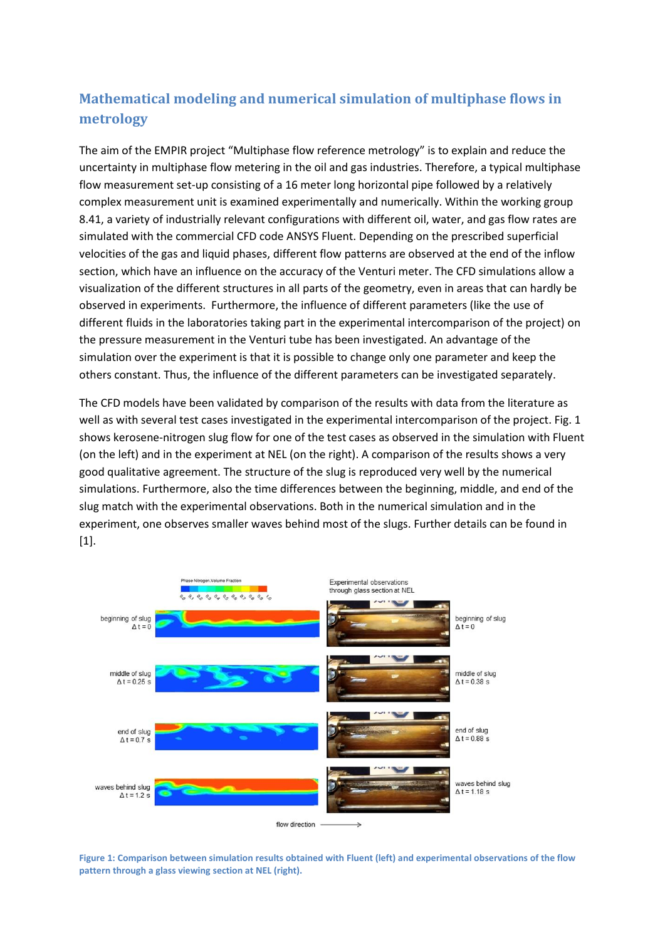## **Mathematical modeling and numerical simulation of multiphase flows in metrology**

The aim of the EMPIR project "Multiphase flow reference metrology" is to explain and reduce the uncertainty in multiphase flow metering in the oil and gas industries. Therefore, a typical multiphase flow measurement set-up consisting of a 16 meter long horizontal pipe followed by a relatively complex measurement unit is examined experimentally and numerically. Within the working group 8.41, a variety of industrially relevant configurations with different oil, water, and gas flow rates are simulated with the commercial CFD code ANSYS Fluent. Depending on the prescribed superficial velocities of the gas and liquid phases, different flow patterns are observed at the end of the inflow section, which have an influence on the accuracy of the Venturi meter. The CFD simulations allow a visualization of the different structures in all parts of the geometry, even in areas that can hardly be observed in experiments. Furthermore, the influence of different parameters (like the use of different fluids in the laboratories taking part in the experimental intercomparison of the project) on the pressure measurement in the Venturi tube has been investigated. An advantage of the simulation over the experiment is that it is possible to change only one parameter and keep the others constant. Thus, the influence of the different parameters can be investigated separately.

The CFD models have been validated by comparison of the results with data from the literature as well as with several test cases investigated in the experimental intercomparison of the project. Fig. 1 shows kerosene-nitrogen slug flow for one of the test cases as observed in the simulation with Fluent (on the left) and in the experiment at NEL (on the right). A comparison of the results shows a very good qualitative agreement. The structure of the slug is reproduced very well by the numerical simulations. Furthermore, also the time differences between the beginning, middle, and end of the slug match with the experimental observations. Both in the numerical simulation and in the experiment, one observes smaller waves behind most of the slugs. Further details can be found in [1].



**Figure 1: Comparison between simulation results obtained with Fluent (left) and experimental observations of the flow pattern through a glass viewing section at NEL (right).**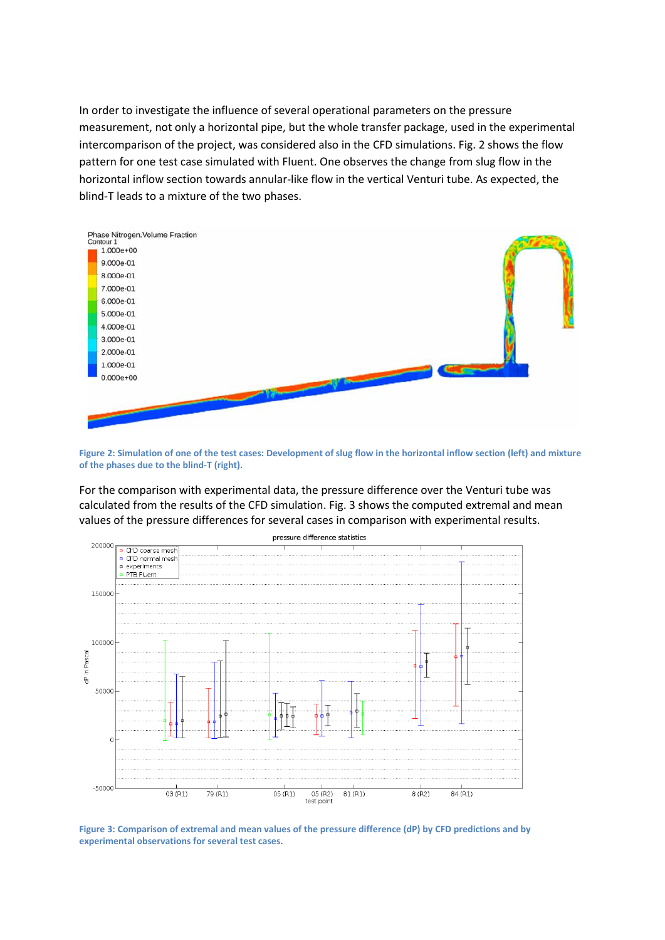In order to investigate the influence of several operational parameters on the pressure measurement, not only a horizontal pipe, but the whole transfer package, used in the experimental intercomparison of the project, was considered also in the CFD simulations. Fig. 2 shows the flow pattern for one test case simulated with Fluent. One observes the change from slug flow in the horizontal inflow section towards annular-like flow in the vertical Venturi tube. As expected, the blind-T leads to a mixture of the two phases.



**Figure 2: Simulation of one of the test cases: Development of slug flow in the horizontal inflow section (left) and mixture of the phases due to the blind-T (right).**

For the comparison with experimental data, the pressure difference over the Venturi tube was calculated from the results of the CFD simulation. Fig. 3 shows the computed extremal and mean values of the pressure differences for several cases in comparison with experimental results.



**Figure 3: Comparison of extremal and mean values of the pressure difference (dP) by CFD predictions and by experimental observations for several test cases.**